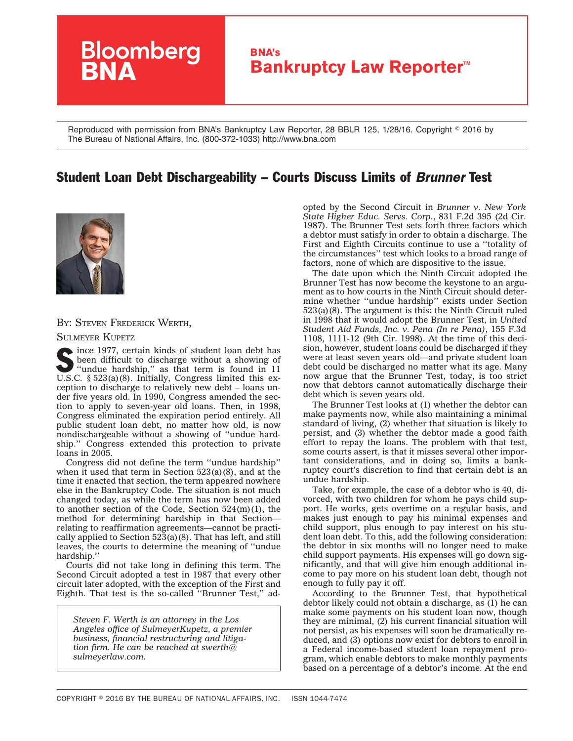

Reproduced with permission from BNA's Bankruptcy Law Reporter, 28 BBLR 125, 1/28/16. Copyright © 2016 by The Bureau of National Affairs, Inc. (800-372-1033) http://www.bna.com

## Student Loan Debt Dischargeability – Courts Discuss Limits of *Brunner* Test



BY: STEVEN FREDERICK WERTH,

SULMEYER KUPETZ

Since 1977, certain kinds of student loan debt has<br>
"undue hardship," as that term is found in 11<br>
ISC  $\frac{$522}{2}$  (2) (2) Initially finitely been difficult to discharge without a showing of U.S.C. § 523(a)(8). Initially, Congress limited this exception to discharge to relatively new debt – loans under five years old. In 1990, Congress amended the section to apply to seven-year old loans. Then, in 1998, Congress eliminated the expiration period entirely. All public student loan debt, no matter how old, is now nondischargeable without a showing of ''undue hardship.'' Congress extended this protection to private loans in 2005.

Congress did not define the term ''undue hardship'' when it used that term in Section  $523(a)(8)$ , and at the time it enacted that section, the term appeared nowhere else in the Bankruptcy Code. The situation is not much changed today, as while the term has now been added to another section of the Code, Section 524(m)(1), the method for determining hardship in that Section relating to reaffirmation agreements—cannot be practically applied to Section  $523(a)(8)$ . That has left, and still leaves, the courts to determine the meaning of ''undue hardship.''

Courts did not take long in defining this term. The Second Circuit adopted a test in 1987 that every other circuit later adopted, with the exception of the First and Eighth. That test is the so-called ''Brunner Test,'' ad-

*Steven F. Werth is an attorney in the Los Angeles office of SulmeyerKupetz, a premier business, financial restructuring and litigation firm. He can be reached at swerth@ sulmeyerlaw.com.*

opted by the Second Circuit in *[Brunner v. New York](Brunner v. New York State Higher Educ. Servs. Corp.) [State Higher Educ. Servs. Corp.](Brunner v. New York State Higher Educ. Servs. Corp.)*, 831 F.2d 395 (2d Cir. 1987). The Brunner Test sets forth three factors which a debtor must satisfy in order to obtain a discharge. The First and Eighth Circuits continue to use a ''totality of the circumstances'' test which looks to a broad range of factors, none of which are dispositive to the issue.

The date upon which the Ninth Circuit adopted the Brunner Test has now become the keystone to an argument as to how courts in the Ninth Circuit should determine whether ''undue hardship'' exists under Section 523(a)(8). The argument is this: the Ninth Circuit ruled in 1998 that it would adopt the Brunner Test, in *[United](http://www.bloomberglaw.com/public/document/United_Student_Aid_Funds_Inc_v_Pena_In_re_Pena_155_F3d_1108_9th_C) [Student Aid Funds, Inc. v. Pena \(In re Pena\)](http://www.bloomberglaw.com/public/document/United_Student_Aid_Funds_Inc_v_Pena_In_re_Pena_155_F3d_1108_9th_C)*, 155 F.3d 1108, 1111-12 (9th Cir. 1998). At the time of this decision, however, student loans could be discharged if they were at least seven years old—and private student loan debt could be discharged no matter what its age. Many now argue that the Brunner Test, today, is too strict now that debtors cannot automatically discharge their debt which is seven years old.

The Brunner Test looks at (1) whether the debtor can make payments now, while also maintaining a minimal standard of living, (2) whether that situation is likely to persist, and (3) whether the debtor made a good faith effort to repay the loans. The problem with that test, some courts assert, is that it misses several other important considerations, and in doing so, limits a bankruptcy court's discretion to find that certain debt is an undue hardship.

Take, for example, the case of a debtor who is 40, divorced, with two children for whom he pays child support. He works, gets overtime on a regular basis, and makes just enough to pay his minimal expenses and child support, plus enough to pay interest on his student loan debt. To this, add the following consideration: the debtor in six months will no longer need to make child support payments. His expenses will go down significantly, and that will give him enough additional income to pay more on his student loan debt, though not enough to fully pay it off.

According to the Brunner Test, that hypothetical debtor likely could not obtain a discharge, as (1) he can make some payments on his student loan now, though they are minimal, (2) his current financial situation will not persist, as his expenses will soon be dramatically reduced, and (3) options now exist for debtors to enroll in a Federal income-based student loan repayment program, which enable debtors to make monthly payments based on a percentage of a debtor's income. At the end